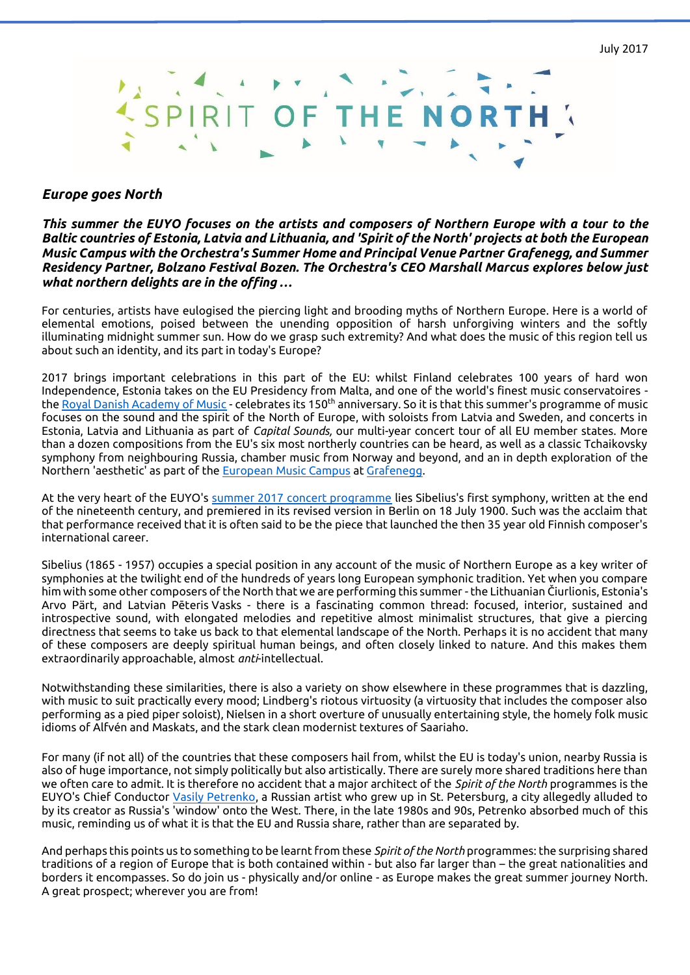

### *Europe goes North*

#### *This summer the EUYO focuses on the artists and composers of Northern Europe with a tour to the Baltic countries of Estonia, Latvia and Lithuania, and 'Spirit of the North' projects at both the European Music Campus with the Orchestra's Summer Home and Principal Venue Partner Grafenegg, and Summer Residency Partner, Bolzano Festival Bozen. The Orchestra's CEO Marshall Marcus explores below just what northern delights are in the offing …*

For centuries, artists have eulogised the piercing light and brooding myths of Northern Europe. Here is a world of elemental emotions, poised between the unending opposition of harsh unforgiving winters and the softly illuminating midnight summer sun. How do we grasp such extremity? And what does the music of this region tell us about such an identity, and its part in today's Europe?

2017 brings important celebrations in this part of the EU: whilst Finland celebrates 100 years of hard won Independence, Estonia takes on the EU Presidency from Malta, and one of the world's finest music conservatoires th[e Royal Danish Academy of Music](http://english.dkdm.dk/) - celebrates its 150<sup>th</sup> anniversary. So it is that this summer's programme of music focuses on the sound and the spirit of the North of Europe, with soloists from Latvia and Sweden, and concerts in Estonia, Latvia and Lithuania as part of *Capital Sounds,* our multi-year concert tour of all EU member states. More than a dozen compositions from the EU's six most northerly countries can be heard, as well as a classic Tchaikovsky symphony from neighbouring Russia, chamber music from Norway and beyond, and an in depth exploration of the Northern 'aesthetic' as part of the [European Music Campus](http://www.euyo.eu/projects/european-music-campus/) a[t Grafenegg.](https://www.grafenegg.com/en)

At the very heart of the EUYO's [summer 2017 concert programme](http://www.euyo.eu/projects/2017-summer-tour/) lies Sibelius's first symphony, written at the end of the nineteenth century, and premiered in its revised version in Berlin on 18 July 1900. Such was the acclaim that that performance received that it is often said to be the piece that launched the then 35 year old Finnish composer's international career.

Sibelius (1865 - 1957) occupies a special position in any account of the music of Northern Europe as a key writer of symphonies at the twilight end of the hundreds of years long European symphonic tradition. Yet when you compare him with some other composers of the North that we are performing this summer - the Lithuanian Čiurlionis, Estonia's Arvo Pärt, and Latvian Pēteris Vasks - there is a fascinating common thread: focused, interior, sustained and introspective sound, with elongated melodies and repetitive almost minimalist structures, that give a piercing directness that seems to take us back to that elemental landscape of the North. Perhaps it is no accident that many of these composers are deeply spiritual human beings, and often closely linked to nature. And this makes them extraordinarily approachable, almost *anti*-intellectual.

Notwithstanding these similarities, there is also a variety on show elsewhere in these programmes that is dazzling, with music to suit practically every mood; Lindberg's riotous virtuosity (a virtuosity that includes the composer also performing as a pied piper soloist), Nielsen in a short overture of unusually entertaining style, the homely folk music idioms of Alfvén and Maskats, and the stark clean modernist textures of Saariaho.

For many (if not all) of the countries that these composers hail from, whilst the EU is today's union, nearby Russia is also of huge importance, not simply politically but also artistically. There are surely more shared traditions here than we often care to admit. It is therefore no accident that a major architect of the *Spirit of the North* programmes is the EUYO's Chief Conductor [Vasily Petrenko,](http://www.euyo.eu/memberProfile?id=2277) a Russian artist who grew up in St. Petersburg, a city allegedly alluded to by its creator as Russia's 'window' onto the West. There, in the late 1980s and 90s, Petrenko absorbed much of this music, reminding us of what it is that the EU and Russia share, rather than are separated by.

And perhaps this points us to something to be learnt from these *Spirit of the North* programmes: the surprising shared traditions of a region of Europe that is both contained within - but also far larger than – the great nationalities and borders it encompasses. So do join us - physically and/or online - as Europe makes the great summer journey North. A great prospect; wherever you are from!